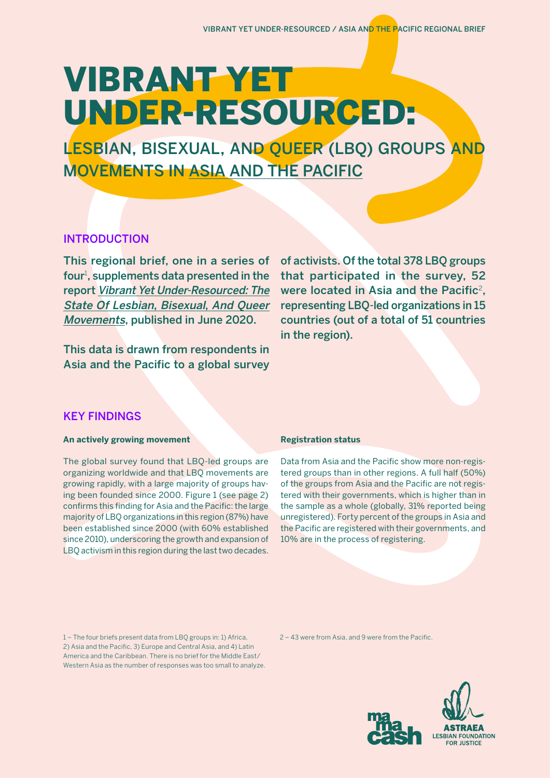# VIBRANT YET UNDER-RESOURCED:

LESBIAN, BISEXUAL, AND QUEER (LBQ) GROUPS AND MOVEMENTS IN ASIA AND THE PACIFIC

# INTRODUCTION

This regional brief, one in a series of four<sup>1</sup>, supplements data presented in the report [Vibrant Yet Under-Resourced: The](https://fundlbq.org/)  [State Of Lesbian](https://fundlbq.org/), Bisexual, And Queer [Movements](https://fundlbq.org/), published in June 2020.

This data is drawn from respondents in Asia and the Pacific to a global survey of activists. Of the total 378 LBQ groups that participated in the survey, 52 were located in Asia and the Pacific<sup>2</sup>. representing LBQ-led organizations in 15 countries (out of a total of 51 countries in the region).

# KEY FINDINGS

## **An actively growing movement**

The global survey found that LBQ-led groups are organizing worldwide and that LBQ movements are growing rapidly, with a large majority of groups having been founded since 2000. Figure 1 (see page 2) confirms this finding for Asia and the Pacific: the large majority of LBQ organizations in this region (87%) have been established since 2000 (with 60% established since 2010), underscoring the growth and expansion of LBQ activism in this region during the last two decades.

## **Registration status**

Data from Asia and the Pacific show more non-registered groups than in other regions. A full half (50%) of the groups from Asia and the Pacific are not registered with their governments, which is higher than in the sample as a whole (globally, 31% reported being unregistered). Forty percent of the groups in Asia and the Pacific are registered with their governments, and 10% are in the process of registering.

1 – The four briefs present data from LBQ groups in: 1) Africa, 2) Asia and the Pacific, 3) Europe and Central Asia, and 4) Latin America and the Caribbean. There is no brief for the Middle East/ Western Asia as the number of responses was too small to analyze. 2 – 43 were from Asia, and 9 were from the Pacific.

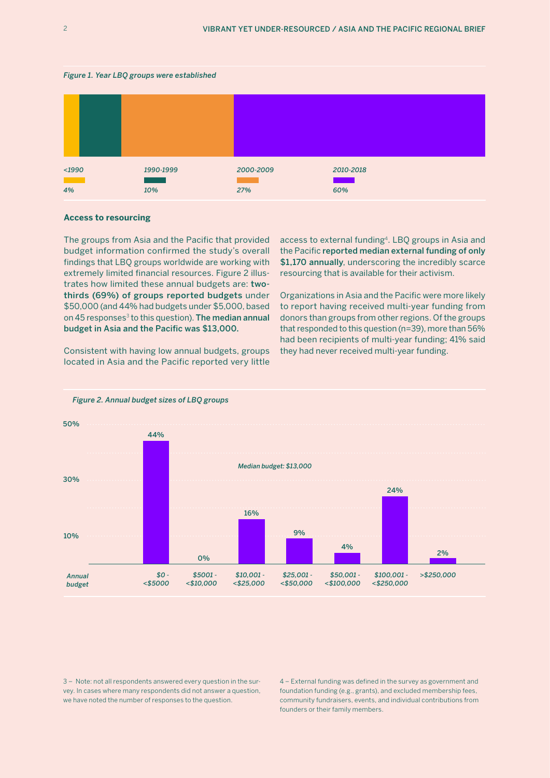#### *Figure 1. Year LBQ groups were established*



#### **Access to resourcing**

The groups from Asia and the Pacific that provided budget information confirmed the study's overall findings that LBQ groups worldwide are working with extremely limited financial resources. Figure 2 illustrates how limited these annual budgets are: twothirds (69%) of groups reported budgets under \$50,000 (and 44% had budgets under \$5,000, based on 45 responses<sup>3</sup> to this question). The median annual budget in Asia and the Pacific was \$13,000.

Consistent with having low annual budgets, groups located in Asia and the Pacific reported very little

access to external funding4. LBQ groups in Asia and the Pacific reported median external funding of only \$1,170 annually, underscoring the incredibly scarce resourcing that is available for their activism.

Organizations in Asia and the Pacific were more likely to report having received multi-year funding from donors than groups from other regions. Of the groups that responded to this question (n=39), more than 56% had been recipients of multi-year funding; 41% said they had never received multi-year funding.



*Figure 2. Annual budget sizes of LBQ groups*

3 – Note: not all respondents answered every question in the survey. In cases where many respondents did not answer a question, we have noted the number of responses to the question.

4 – External funding was defined in the survey as government and foundation funding (e.g., grants), and excluded membership fees, community fundraisers, events, and individual contributions from founders or their family members.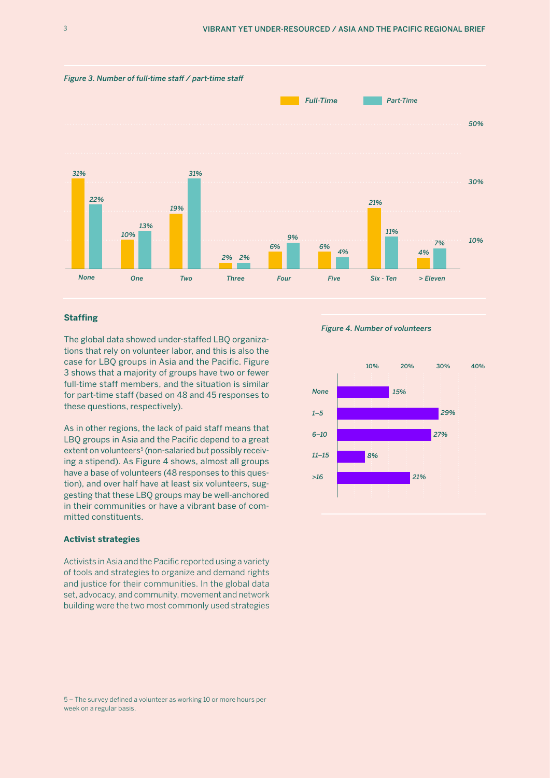

## **Staffing**

The global data showed under-staffed LBQ organizations that rely on volunteer labor, and this is also the case for LBQ groups in Asia and the Pacific. Figure 3 shows that a majority of groups have two or fewer full-time staff members, and the situation is similar for part-time staff (based on 48 and 45 responses to these questions, respectively).

As in other regions, the lack of paid staff means that LBQ groups in Asia and the Pacific depend to a great extent on volunteers<sup>5</sup> (non-salaried but possibly receiving a stipend). As Figure 4 shows, almost all groups have a base of volunteers (48 responses to this question), and over half have at least six volunteers, suggesting that these LBQ groups may be well-anchored in their communities or have a vibrant base of committed constituents.

### **Activist strategies**

Activists in Asia and the Pacific reported using a variety of tools and strategies to organize and demand rights and justice for their communities. In the global data set, advocacy, and community, movement and network building were the two most commonly used strategies

*Figure 4. Number of volunteers*



<sup>5 –</sup> The survey defined a volunteer as working 10 or more hours per week on a regular basis.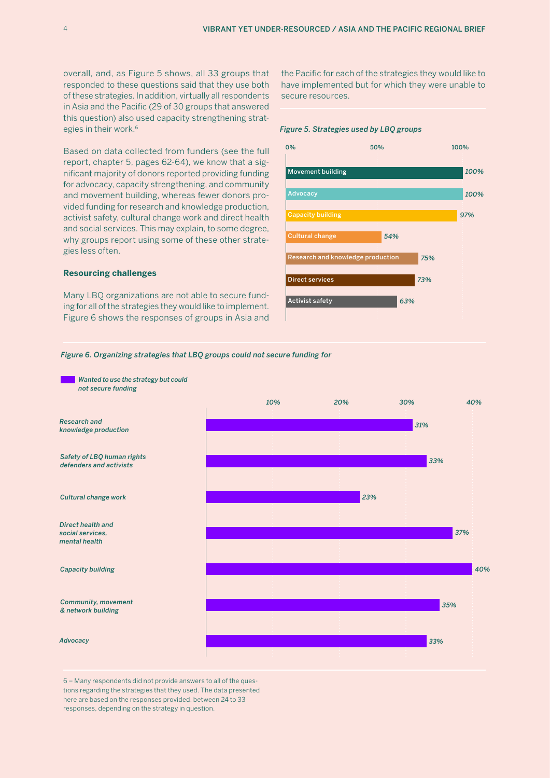overall, and, as Figure 5 shows, all 33 groups that responded to these questions said that they use both of these strategies. In addition, virtually all respondents in Asia and the Pacific (29 of 30 groups that answered this question) also used capacity strengthening strategies in their work.<sup>6</sup>

Based on data collected from funders (see the full report, chapter 5, pages 62-64), we know that a significant majority of donors reported providing funding for advocacy, capacity strengthening, and community and movement building, whereas fewer donors provided funding for research and knowledge production, activist safety, cultural change work and direct health and social services. This may explain, to some degree, why groups report using some of these other strategies less often.

#### **Resourcing challenges**

Many LBQ organizations are not able to secure funding for all of the strategies they would like to implement. Figure 6 shows the responses of groups in Asia and the Pacific for each of the strategies they would like to have implemented but for which they were unable to secure resources.

#### *Figure 5. Strategies used by LBQ groups*



#### *Figure 6. Organizing strategies that LBQ groups could not secure funding for*



6 – Many respondents did not provide answers to all of the questions regarding the strategies that they used. The data presented here are based on the responses provided, between 24 to 33 responses, depending on the strategy in question.